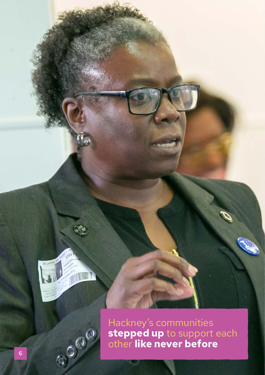

E.

**THE REAL PROPERTY AND IN** 

GO GO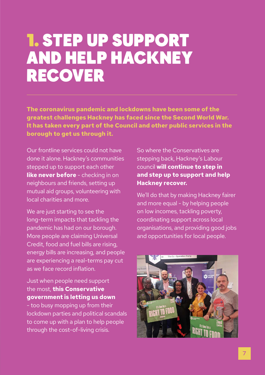# 1. STEP UP SUPPORT AND HELP HACKNEY RECOVER

**The coronavirus pandemic and lockdowns have been some of the greatest challenges Hackney has faced since the Second World War. It has taken every part of the Council and other public services in the borough to get us through it.**

Our frontline services could not have done it alone. Hackney's communities stepped up to support each other **like never before** - checking in on neighbours and friends, setting up mutual aid groups, volunteering with local charities and more.

We are just starting to see the long-term impacts that tackling the pandemic has had on our borough. More people are claiming Universal Credit, food and fuel bills are rising, energy bills are increasing, and people are experiencing a real-terms pay cut as we face record inflation.

### Just when people need support the most, **this Conservative government is letting us down**

- too busy mopping up from their lockdown parties and political scandals to come up with a plan to help people through the cost-of-living crisis.

So where the Conservatives are stepping back, Hackney's Labour council **will continue to step in and step up to support and help Hackney recover.** 

We'll do that by making Hackney fairer and more equal - by helping people on low incomes, tackling poverty, coordinating support across local organisations, and providing good jobs and opportunities for local people.

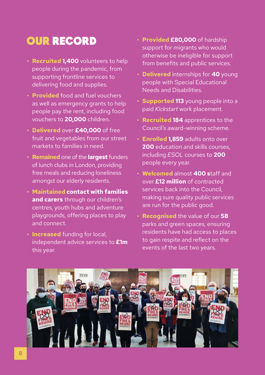### OUR RECORD

- **• Recruited 1,400** volunteers to help people during the pandemic, from supporting frontline services to delivering food and supplies.
- **• Provided** food and fuel vouchers as well as emergency grants to help people pay the rent, including food vouchers to **20,000** children.
- **• Delivered** over **£40,000** of free fruit and vegetables from our street markets to families in need.
- **• Remained** one of the **largest** funders of lunch clubs in London, providing free meals and reducing loneliness amongst our elderly residents.
- **• Maintained contact with families and carers** through our children's centres, youth hubs and adventure playgrounds, offering places to play and connect.
- **• Increased** funding for local, independent advice services to **£1m** this year.
- **• Provided £80,000** of hardship support for migrants who would otherwise be ineligible for support from benefits and public services.
- **• Delivered** internships for **40** young people with Special Educational Needs and Disabilities.
- **• Supported 113** young people into a paid *Kickstart* work placement.
- **• Recruited 184** apprentices to the Council's award-winning scheme.
- **• Enrolled 1,859** adults onto over **200** education and skills courses including *ESOL* courses to **200**  people every year.
- **• Welcomed** almost **400 s**taff and over **£12 million** of contracted services back into the Council, making sure quality public services are run for the public good.
- **• Recognised** the value of our **58** parks and green spaces, ensuring residents have had access to places to gain respite and reflect on the events of the last two years.

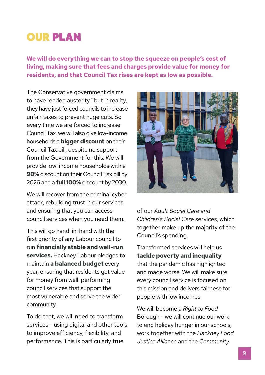## OUR PLAN

**We will do everything we can to stop the squeeze on people's cost of living, making sure that fees and charges provide value for money for residents, and that Council Tax rises are kept as low as possible.** 

The Conservative government claims to have "ended austerity," but in reality, they have just forced councils to increase unfair taxes to prevent huge cuts. So every time we are forced to increase Council Tax, we will also give low-income households a **bigger discount** on their Council Tax bill, despite no support from the Government for this. We will provide low-income households with a **90%** discount on their Council Tax bill by 2026 and a **full 100%** discount by 2030.

We will recover from the criminal cyber attack, rebuilding trust in our services and ensuring that you can access council services when you need them.

This will go hand-in-hand with the first priority of any Labour council to run **financially stable and well-run services.** Hackney Labour pledges to maintain **a balanced budget** every year, ensuring that residents get value for money from well-performing council services that support the most vulnerable and serve the wider community.

To do that, we will need to transform services - using digital and other tools to improve efficiency, flexibility, and performance. This is particularly true



of our *Adult Social Care and Children's Social Care* services, which together make up the majority of the Council's spending.

Transformed services will help us **tackle poverty and inequality** that the pandemic has highlighted and made worse. We will make sure every council service is focused on this mission and delivers fairness for people with low incomes.

We will become a *Right to Food* Borough - we will continue our work to end holiday hunger in our schools; work together with the *Hackney Food Justice Alliance* and the *Community*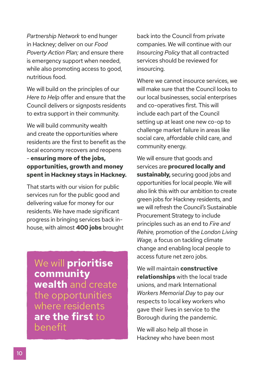*Partnership Network* to end hunger in Hackney; deliver on our *Food Poverty Action Plan;* and ensure there is emergency support when needed, while also promoting access to good. nutritious food.

We will build on the principles of our *Here to Help* offer and ensure that the Council delivers or signposts residents to extra support in their community.

We will build community wealth and create the opportunities where residents are the first to benefit as the local economy recovers and reopens - **ensuring more of the jobs, opportunities, growth and money spent in Hackney stays in Hackney.**

That starts with our vision for public services run for the public good and delivering value for money for our residents. We have made significant progress in bringing services back inhouse, with almost **400 jobs** brought

We will **prioritise community wealth** and create the opportunities where residents **are the first** to benefit

back into the Council from private companies. We will continue with our *Insourcing Policy* that all contracted services should be reviewed for insourcing.

Where we cannot insource services, we will make sure that the Council looks to our local businesses, social enterprises and co-operatives first. This will include each part of the Council setting up at least one new co-op to challenge market failure in areas like social care, affordable child care, and community energy.

We will ensure that goods and services are **procured locally and sustainably,** securing good jobs and opportunities for local people. We will also link this with our ambition to create green jobs for Hackney residents, and we will refresh the *Council's* Sustainable Procurement Strategy to include principles such as an end to *Fire and Rehire,* promotion of the *London Living Wage,* a focus on tackling climate change and enabling local people to access future net zero jobs.

We will maintain **constructive relationships** with the local trade unions, and mark International *Workers Memorial Day* to pay our respects to local key workers who gave their lives in service to the Borough during the pandemic.

We will also help all those in Hackney who have been most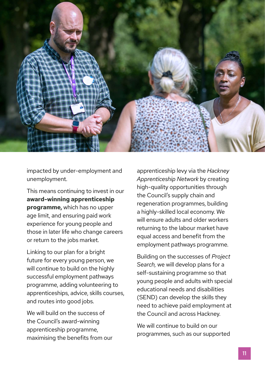

impacted by under-employment and unemployment.

This means continuing to invest in our **award-winning apprenticeship programme,** which has no upper age limit, and ensuring paid work experience for young people and those in later life who change careers or return to the jobs market.

Linking to our plan for a bright future for every young person, we will continue to build on the highly successful employment pathways programme, adding volunteering to apprenticeships, advice, skills courses, and routes into good jobs.

We will build on the success of the Council's award-winning apprenticeship programme, maximising the benefits from our

apprenticeship levy via the *Hackney Apprenticeship Network* by creating high-quality opportunities through the Council's supply chain and regeneration programmes, building a highly-skilled local economy. We will ensure adults and older workers returning to the labour market have equal access and benefit from the employment pathways programme.

Building on the successes of *Project Search,* we will develop plans for a self-sustaining programme so that young people and adults with special educational needs and disabilities (SEND) can develop the skills they need to achieve paid employment at the Council and across Hackney.

We will continue to build on our programmes, such as our supported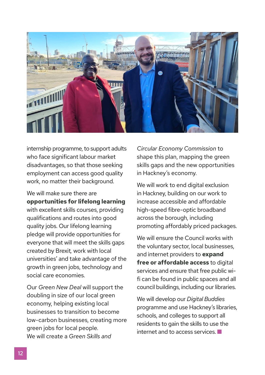

internship programme, to support adults who face significant labour market disadvantages, so that those seeking employment can access good quality work, no matter their background.

We will make sure there are **opportunities for lifelong learning**  with excellent skills courses, providing qualifications and routes into good quality jobs. Our lifelong learning pledge will provide opportunities for everyone that will meet the skills gaps created by Brexit*,* work with local universities' and take advantage of the growth in green jobs, technology and social care economies.

Our *Green New Deal* will support the doubling in size of our local green economy, helping existing local businesses to transition to become low-carbon businesses, creating more green jobs for local people. We will create a *Green Skills and* 

*Circular Economy Commission* to shape this plan, mapping the green skills gaps and the new opportunities in Hackney's economy.

We will work to end digital exclusion in Hackney, building on our work to increase accessible and affordable high-speed fibre-optic broadband across the borough, including promoting affordably priced packages.

We will ensure the Council works with the voluntary sector, local businesses, and internet providers to **expand free or affordable access** to digital services and ensure that free public wifi can be found in public spaces and all council buildings, including our libraries.

We will develop our *Digital Buddies* programme and use Hackney's libraries, schools, and colleges to support all residents to gain the skills to use the  $internet$  and to access services.